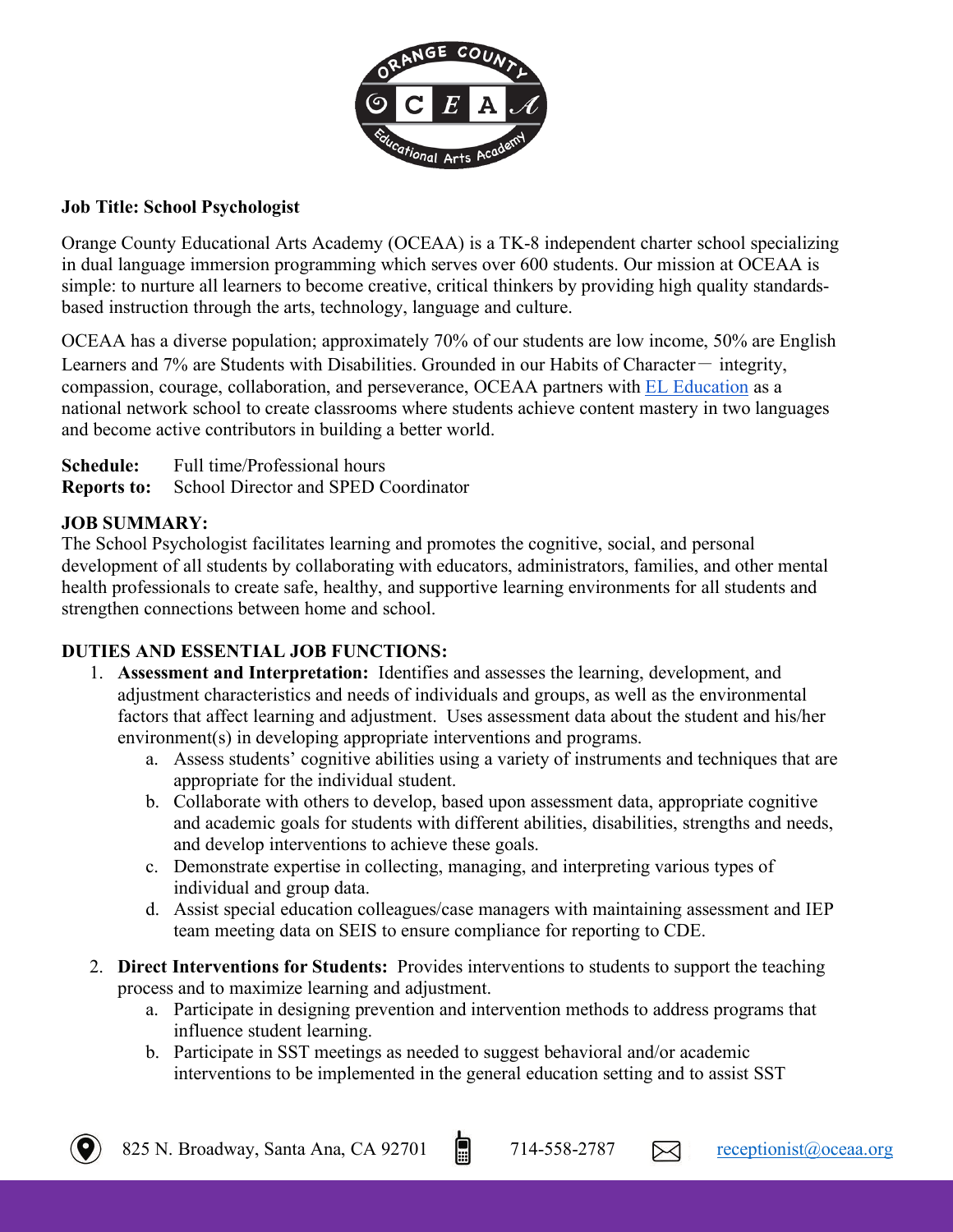

## **Job Title: School Psychologist**

Orange County Educational Arts Academy (OCEAA) is a TK-8 independent charter school specializing in dual language immersion programming which serves over 600 students. Our mission at OCEAA is simple: to nurture all learners to become creative, critical thinkers by providing high quality standardsbased instruction through the arts, technology, language and culture.

OCEAA has a diverse population; approximately 70% of our students are low income, 50% are English Learners and  $7\%$  are Students with Disabilities. Grounded in our Habits of Character- integrity, compassion, courage, collaboration, and perseverance, OCEAA partners with EL Education as a national network school to create classrooms where students achieve content mastery in two languages and become active contributors in building a better world.

**Schedule:** Full time/Professional hours **Reports to:** School Director and SPED Coordinator

# **JOB SUMMARY:**

The School Psychologist facilitates learning and promotes the cognitive, social, and personal development of all students by collaborating with educators, administrators, families, and other mental health professionals to create safe, healthy, and supportive learning environments for all students and strengthen connections between home and school.

# **DUTIES AND ESSENTIAL JOB FUNCTIONS:**

- 1. **Assessment and Interpretation:** Identifies and assesses the learning, development, and adjustment characteristics and needs of individuals and groups, as well as the environmental factors that affect learning and adjustment. Uses assessment data about the student and his/her environment(s) in developing appropriate interventions and programs.
	- a. Assess students' cognitive abilities using a variety of instruments and techniques that are appropriate for the individual student.
	- b. Collaborate with others to develop, based upon assessment data, appropriate cognitive and academic goals for students with different abilities, disabilities, strengths and needs, and develop interventions to achieve these goals.
	- c. Demonstrate expertise in collecting, managing, and interpreting various types of individual and group data.
	- d. Assist special education colleagues/case managers with maintaining assessment and IEP team meeting data on SEIS to ensure compliance for reporting to CDE.
- 2. **Direct Interventions for Students:** Provides interventions to students to support the teaching process and to maximize learning and adjustment.
	- a. Participate in designing prevention and intervention methods to address programs that influence student learning.
	- b. Participate in SST meetings as needed to suggest behavioral and/or academic interventions to be implemented in the general education setting and to assist SST

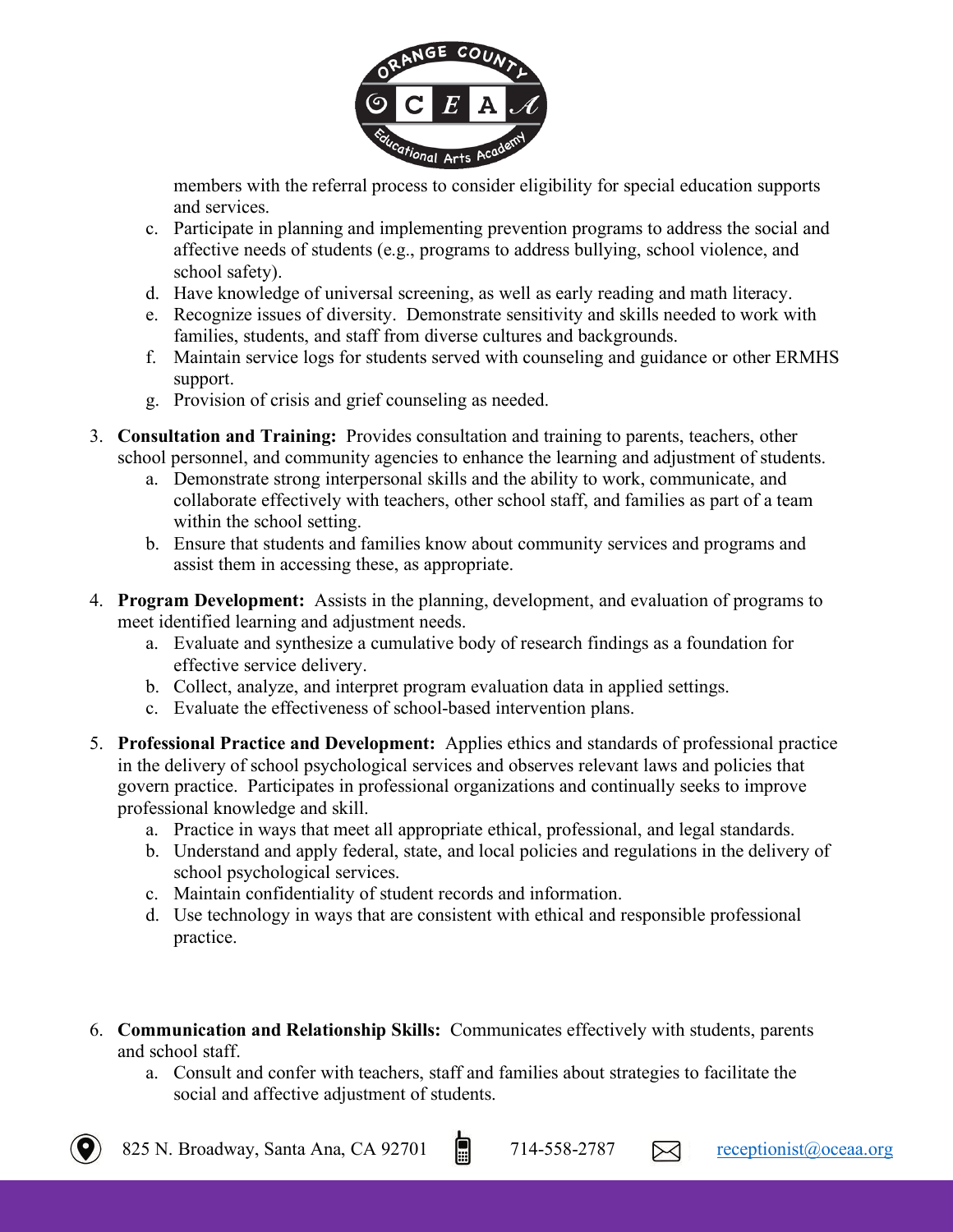

members with the referral process to consider eligibility for special education supports and services.

- c. Participate in planning and implementing prevention programs to address the social and affective needs of students (e.g., programs to address bullying, school violence, and school safety).
- d. Have knowledge of universal screening, as well as early reading and math literacy.
- e. Recognize issues of diversity. Demonstrate sensitivity and skills needed to work with families, students, and staff from diverse cultures and backgrounds.
- f. Maintain service logs for students served with counseling and guidance or other ERMHS support.
- g. Provision of crisis and grief counseling as needed.
- 3. **Consultation and Training:** Provides consultation and training to parents, teachers, other school personnel, and community agencies to enhance the learning and adjustment of students.
	- a. Demonstrate strong interpersonal skills and the ability to work, communicate, and collaborate effectively with teachers, other school staff, and families as part of a team within the school setting.
	- b. Ensure that students and families know about community services and programs and assist them in accessing these, as appropriate.
- 4. **Program Development:** Assists in the planning, development, and evaluation of programs to meet identified learning and adjustment needs.
	- a. Evaluate and synthesize a cumulative body of research findings as a foundation for effective service delivery.
	- b. Collect, analyze, and interpret program evaluation data in applied settings.
	- c. Evaluate the effectiveness of school-based intervention plans.
- 5. **Professional Practice and Development:** Applies ethics and standards of professional practice in the delivery of school psychological services and observes relevant laws and policies that govern practice. Participates in professional organizations and continually seeks to improve professional knowledge and skill.
	- a. Practice in ways that meet all appropriate ethical, professional, and legal standards.
	- b. Understand and apply federal, state, and local policies and regulations in the delivery of school psychological services.
	- c. Maintain confidentiality of student records and information.
	- d. Use technology in ways that are consistent with ethical and responsible professional practice.
- 6. **Communication and Relationship Skills:** Communicates effectively with students, parents and school staff.
	- a. Consult and confer with teachers, staff and families about strategies to facilitate the social and affective adjustment of students.